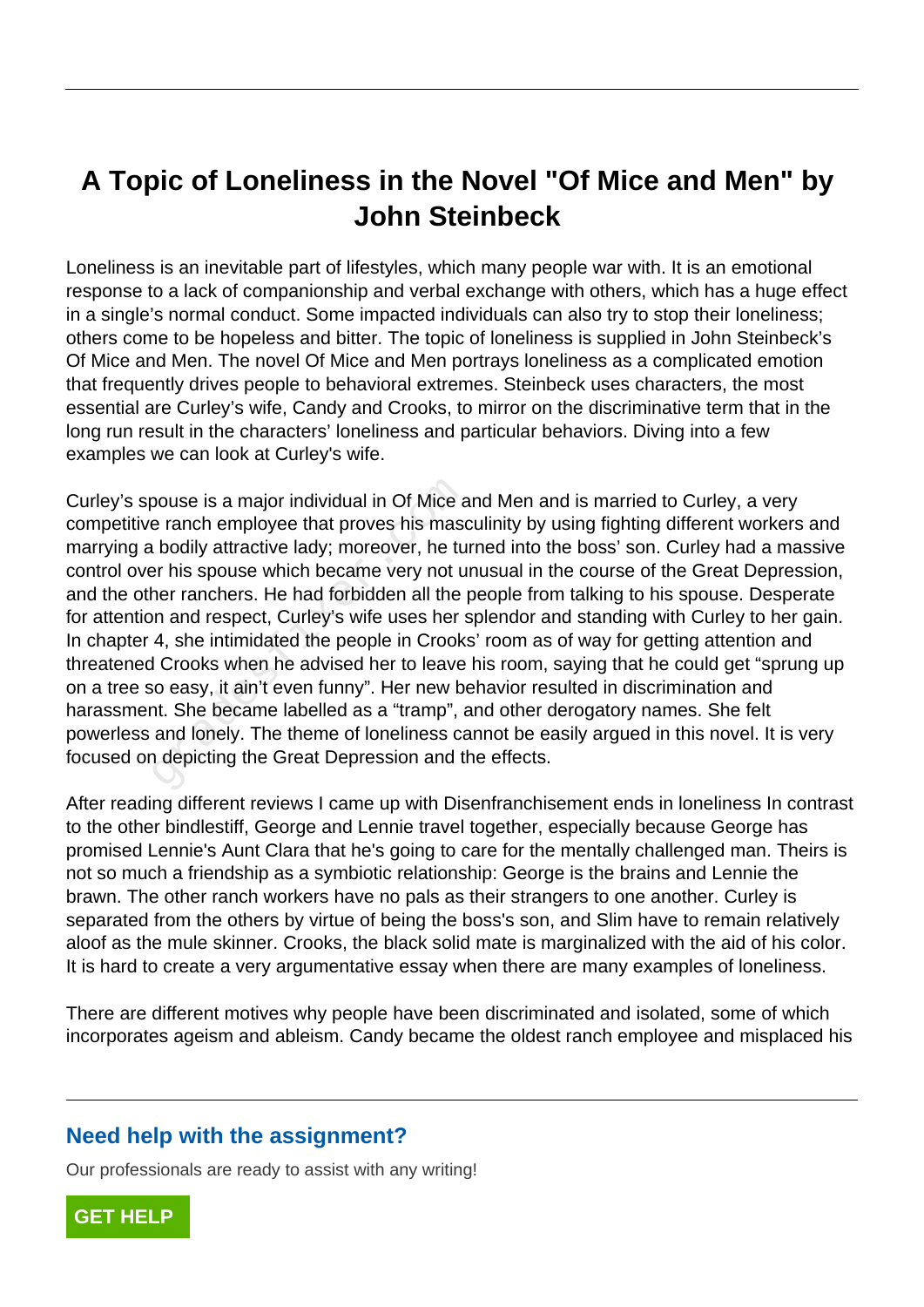## **A Topic of Loneliness in the Novel "Of Mice and Men" by John Steinbeck**

Loneliness is an inevitable part of lifestyles, which many people war with. It is an emotional response to a lack of companionship and verbal exchange with others, which has a huge effect in a single's normal conduct. Some impacted individuals can also try to stop their loneliness; others come to be hopeless and bitter. The topic of loneliness is supplied in John Steinbeck's Of Mice and Men. The novel Of Mice and Men portrays loneliness as a complicated emotion that frequently drives people to behavioral extremes. Steinbeck uses characters, the most essential are Curley's wife, Candy and Crooks, to mirror on the discriminative term that in the long run result in the characters' loneliness and particular behaviors. Diving into a few examples we can look at Curley's wife.

Curley's spouse is a major individual in Of Mice and Men and is married to Curley, a very competitive ranch employee that proves his masculinity by using fighting different workers and marrying a bodily attractive lady; moreover, he turned into the boss' son. Curley had a massive control over his spouse which became very not unusual in the course of the Great Depression, and the other ranchers. He had forbidden all the people from talking to his spouse. Desperate for attention and respect, Curley's wife uses her splendor and standing with Curley to her gain. In chapter 4, she intimidated the people in Crooks' room as of way for getting attention and threatened Crooks when he advised her to leave his room, saying that he could get "sprung up on a tree so easy, it ain't even funny". Her new behavior resulted in discrimination and harassment. She became labelled as a "tramp", and other derogatory names. She felt powerless and lonely. The theme of loneliness cannot be easily argued in this novel. It is very focused on depicting the Great Depression and the effects. boot is a major individual in Of Mice a<br>e ranch employee that proves his mase<br>a bodily attractive lady; moreover, he tu<br>er his spouse which became very not u<br>her ranchers. He had forbidden all the  $|n|$ <br>and respect, Curley

After reading different reviews I came up with Disenfranchisement ends in loneliness In contrast to the other bindlestiff, George and Lennie travel together, especially because George has promised Lennie's Aunt Clara that he's going to care for the mentally challenged man. Theirs is not so much a friendship as a symbiotic relationship: George is the brains and Lennie the brawn. The other ranch workers have no pals as their strangers to one another. Curley is separated from the others by virtue of being the boss's son, and Slim have to remain relatively aloof as the mule skinner. Crooks, the black solid mate is marginalized with the aid of his color. It is hard to create a very argumentative essay when there are many examples of loneliness.

There are different motives why people have been discriminated and isolated, some of which incorporates ageism and ableism. Candy became the oldest ranch employee and misplaced his

## **Need help with the assignment?**

Our professionals are ready to assist with any writing!